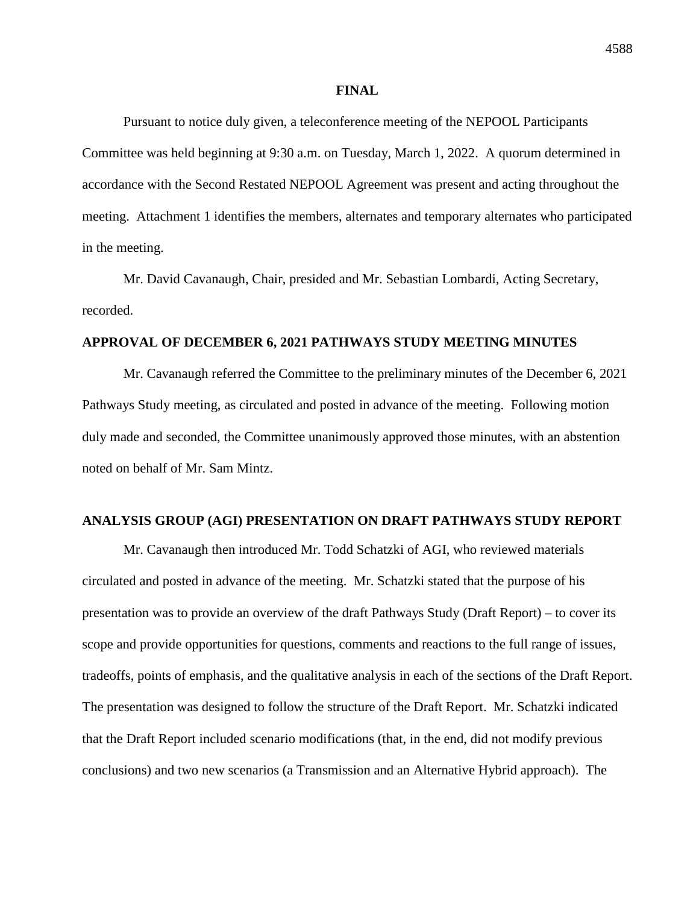Pursuant to notice duly given, a teleconference meeting of the NEPOOL Participants Committee was held beginning at 9:30 a.m. on Tuesday, March 1, 2022. A quorum determined in accordance with the Second Restated NEPOOL Agreement was present and acting throughout the meeting. Attachment 1 identifies the members, alternates and temporary alternates who participated in the meeting.

Mr. David Cavanaugh, Chair, presided and Mr. Sebastian Lombardi, Acting Secretary, recorded.

### **APPROVAL OF DECEMBER 6, 2021 PATHWAYS STUDY MEETING MINUTES**

Mr. Cavanaugh referred the Committee to the preliminary minutes of the December 6, 2021 Pathways Study meeting, as circulated and posted in advance of the meeting. Following motion duly made and seconded, the Committee unanimously approved those minutes, with an abstention noted on behalf of Mr. Sam Mintz.

## **ANALYSIS GROUP (AGI) PRESENTATION ON DRAFT PATHWAYS STUDY REPORT**

Mr. Cavanaugh then introduced Mr. Todd Schatzki of AGI, who reviewed materials circulated and posted in advance of the meeting. Mr. Schatzki stated that the purpose of his presentation was to provide an overview of the draft Pathways Study (Draft Report) – to cover its scope and provide opportunities for questions, comments and reactions to the full range of issues, tradeoffs, points of emphasis, and the qualitative analysis in each of the sections of the Draft Report. The presentation was designed to follow the structure of the Draft Report. Mr. Schatzki indicated that the Draft Report included scenario modifications (that, in the end, did not modify previous conclusions) and two new scenarios (a Transmission and an Alternative Hybrid approach). The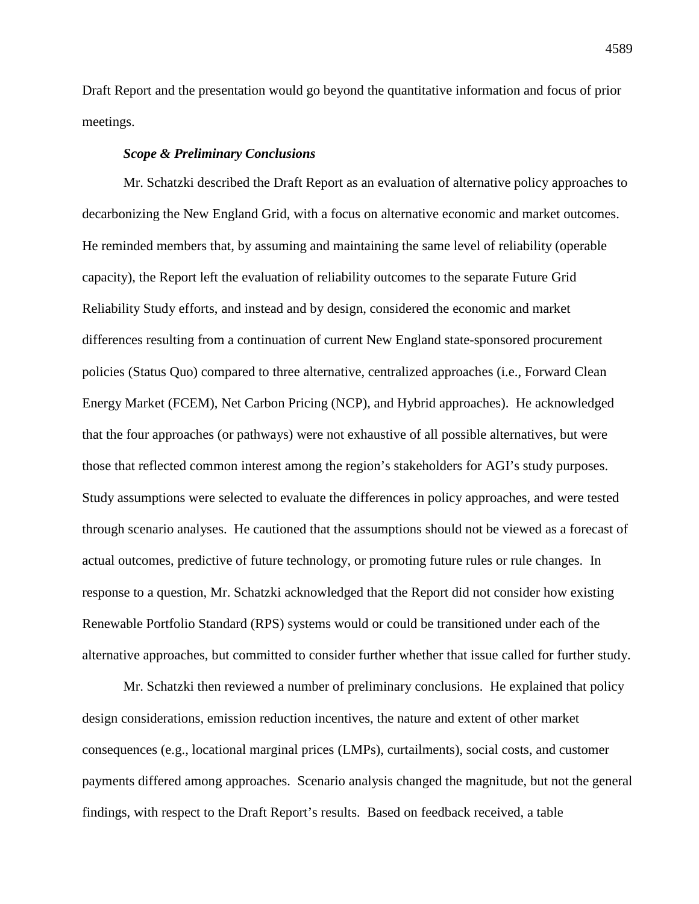Draft Report and the presentation would go beyond the quantitative information and focus of prior meetings.

## *Scope & Preliminary Conclusions*

Mr. Schatzki described the Draft Report as an evaluation of alternative policy approaches to decarbonizing the New England Grid, with a focus on alternative economic and market outcomes. He reminded members that, by assuming and maintaining the same level of reliability (operable capacity), the Report left the evaluation of reliability outcomes to the separate Future Grid Reliability Study efforts, and instead and by design, considered the economic and market differences resulting from a continuation of current New England state-sponsored procurement policies (Status Quo) compared to three alternative, centralized approaches (i.e., Forward Clean Energy Market (FCEM), Net Carbon Pricing (NCP), and Hybrid approaches). He acknowledged that the four approaches (or pathways) were not exhaustive of all possible alternatives, but were those that reflected common interest among the region's stakeholders for AGI's study purposes. Study assumptions were selected to evaluate the differences in policy approaches, and were tested through scenario analyses. He cautioned that the assumptions should not be viewed as a forecast of actual outcomes, predictive of future technology, or promoting future rules or rule changes. In response to a question, Mr. Schatzki acknowledged that the Report did not consider how existing Renewable Portfolio Standard (RPS) systems would or could be transitioned under each of the alternative approaches, but committed to consider further whether that issue called for further study.

Mr. Schatzki then reviewed a number of preliminary conclusions. He explained that policy design considerations, emission reduction incentives, the nature and extent of other market consequences (e.g., locational marginal prices (LMPs), curtailments), social costs, and customer payments differed among approaches. Scenario analysis changed the magnitude, but not the general findings, with respect to the Draft Report's results. Based on feedback received, a table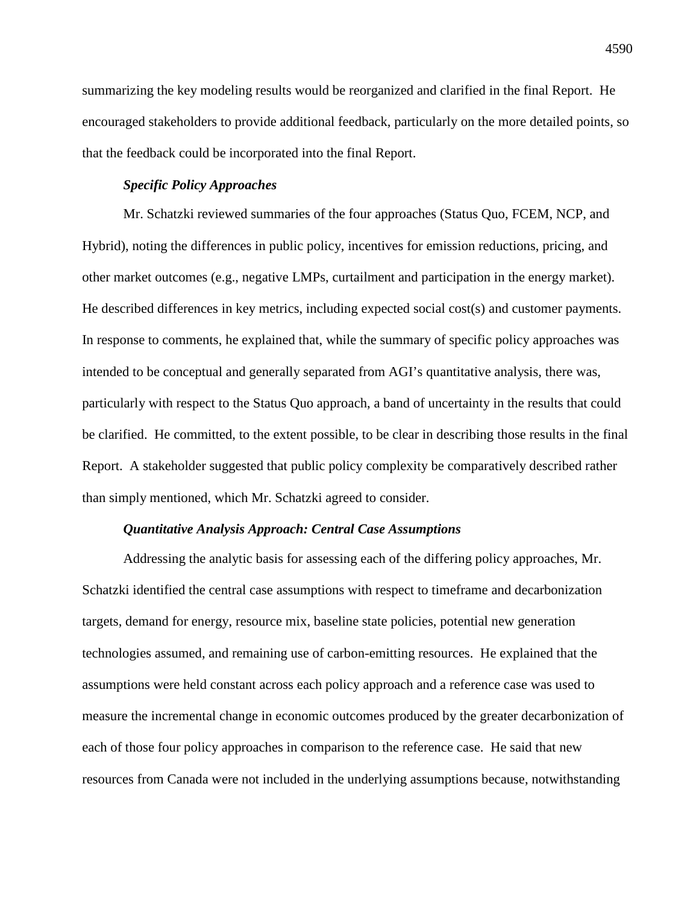summarizing the key modeling results would be reorganized and clarified in the final Report. He encouraged stakeholders to provide additional feedback, particularly on the more detailed points, so that the feedback could be incorporated into the final Report.

## *Specific Policy Approaches*

Mr. Schatzki reviewed summaries of the four approaches (Status Quo, FCEM, NCP, and Hybrid), noting the differences in public policy, incentives for emission reductions, pricing, and other market outcomes (e.g., negative LMPs, curtailment and participation in the energy market). He described differences in key metrics, including expected social cost(s) and customer payments. In response to comments, he explained that, while the summary of specific policy approaches was intended to be conceptual and generally separated from AGI's quantitative analysis, there was, particularly with respect to the Status Quo approach, a band of uncertainty in the results that could be clarified. He committed, to the extent possible, to be clear in describing those results in the final Report. A stakeholder suggested that public policy complexity be comparatively described rather than simply mentioned, which Mr. Schatzki agreed to consider.

## *Quantitative Analysis Approach: Central Case Assumptions*

Addressing the analytic basis for assessing each of the differing policy approaches, Mr. Schatzki identified the central case assumptions with respect to timeframe and decarbonization targets, demand for energy, resource mix, baseline state policies, potential new generation technologies assumed, and remaining use of carbon-emitting resources. He explained that the assumptions were held constant across each policy approach and a reference case was used to measure the incremental change in economic outcomes produced by the greater decarbonization of each of those four policy approaches in comparison to the reference case. He said that new resources from Canada were not included in the underlying assumptions because, notwithstanding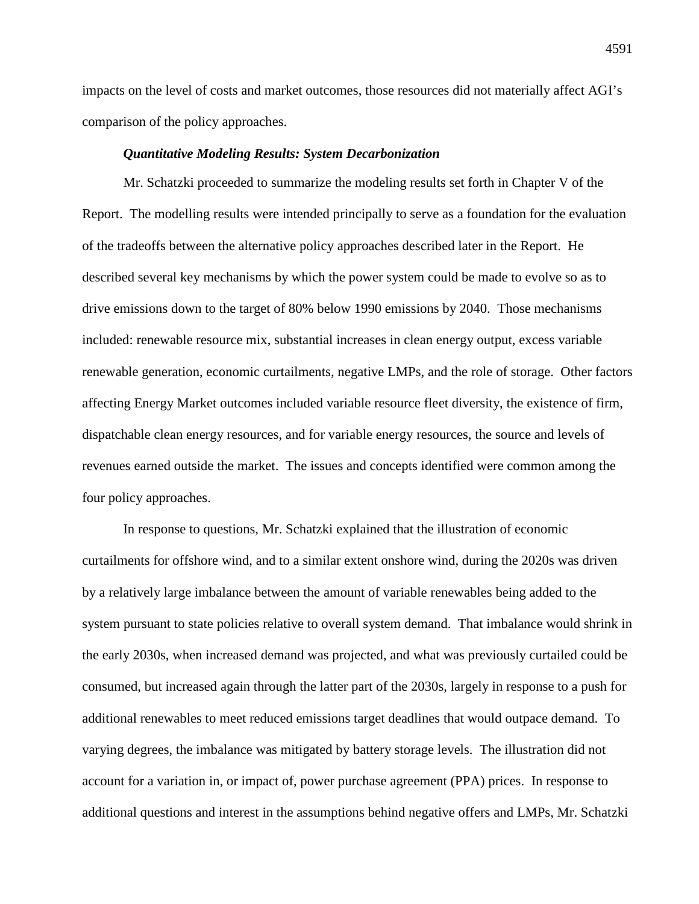impacts on the level of costs and market outcomes, those resources did not materially affect AGI's comparison of the policy approaches.

### *Quantitative Modeling Results: System Decarbonization*

Mr. Schatzki proceeded to summarize the modeling results set forth in Chapter V of the Report. The modelling results were intended principally to serve as a foundation for the evaluation of the tradeoffs between the alternative policy approaches described later in the Report. He described several key mechanisms by which the power system could be made to evolve so as to drive emissions down to the target of 80% below 1990 emissions by 2040. Those mechanisms included: renewable resource mix, substantial increases in clean energy output, excess variable renewable generation, economic curtailments, negative LMPs, and the role of storage. Other factors affecting Energy Market outcomes included variable resource fleet diversity, the existence of firm, dispatchable clean energy resources, and for variable energy resources, the source and levels of revenues earned outside the market. The issues and concepts identified were common among the four policy approaches.

In response to questions, Mr. Schatzki explained that the illustration of economic curtailments for offshore wind, and to a similar extent onshore wind, during the 2020s was driven by a relatively large imbalance between the amount of variable renewables being added to the system pursuant to state policies relative to overall system demand. That imbalance would shrink in the early 2030s, when increased demand was projected, and what was previously curtailed could be consumed, but increased again through the latter part of the 2030s, largely in response to a push for additional renewables to meet reduced emissions target deadlines that would outpace demand. To varying degrees, the imbalance was mitigated by battery storage levels. The illustration did not account for a variation in, or impact of, power purchase agreement (PPA) prices. In response to additional questions and interest in the assumptions behind negative offers and LMPs, Mr. Schatzki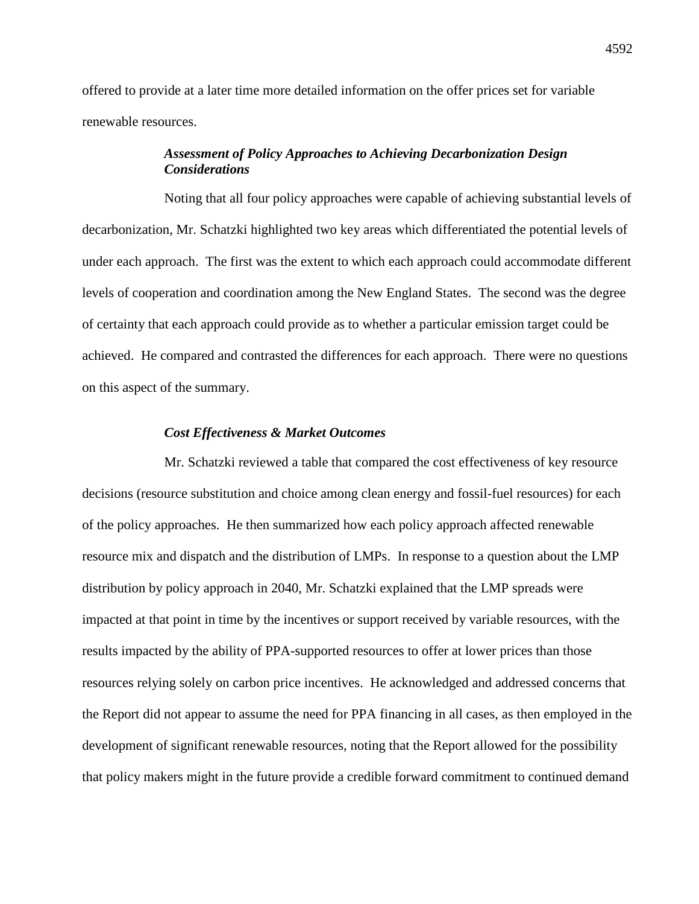offered to provide at a later time more detailed information on the offer prices set for variable renewable resources.

# *Assessment of Policy Approaches to Achieving Decarbonization Design Considerations*

Noting that all four policy approaches were capable of achieving substantial levels of decarbonization, Mr. Schatzki highlighted two key areas which differentiated the potential levels of under each approach. The first was the extent to which each approach could accommodate different levels of cooperation and coordination among the New England States. The second was the degree of certainty that each approach could provide as to whether a particular emission target could be achieved. He compared and contrasted the differences for each approach. There were no questions on this aspect of the summary.

## *Cost Effectiveness & Market Outcomes*

Mr. Schatzki reviewed a table that compared the cost effectiveness of key resource decisions (resource substitution and choice among clean energy and fossil-fuel resources) for each of the policy approaches. He then summarized how each policy approach affected renewable resource mix and dispatch and the distribution of LMPs. In response to a question about the LMP distribution by policy approach in 2040, Mr. Schatzki explained that the LMP spreads were impacted at that point in time by the incentives or support received by variable resources, with the results impacted by the ability of PPA-supported resources to offer at lower prices than those resources relying solely on carbon price incentives. He acknowledged and addressed concerns that the Report did not appear to assume the need for PPA financing in all cases, as then employed in the development of significant renewable resources, noting that the Report allowed for the possibility that policy makers might in the future provide a credible forward commitment to continued demand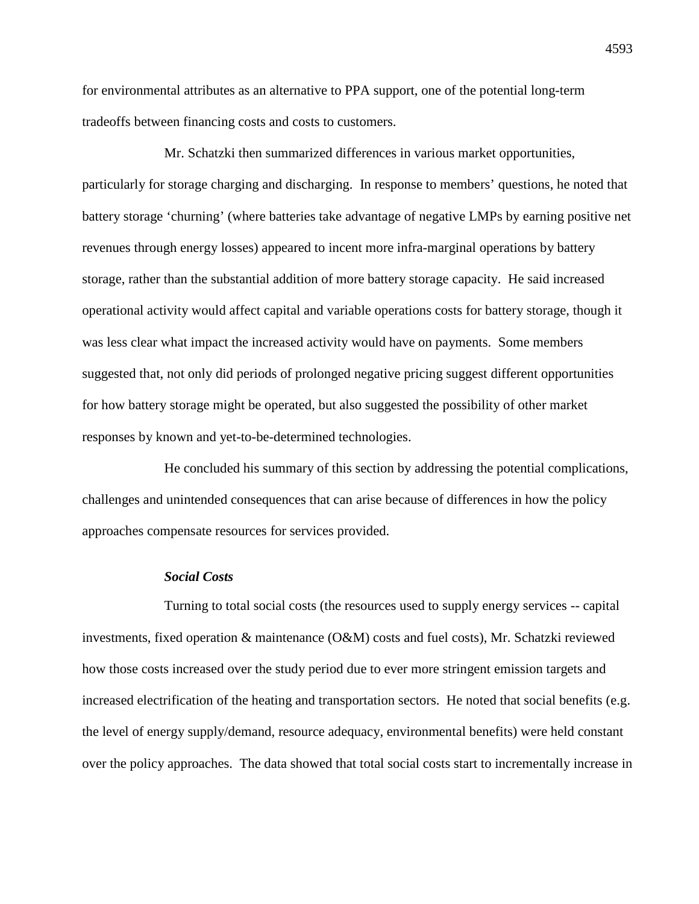for environmental attributes as an alternative to PPA support, one of the potential long-term tradeoffs between financing costs and costs to customers.

Mr. Schatzki then summarized differences in various market opportunities, particularly for storage charging and discharging. In response to members' questions, he noted that battery storage 'churning' (where batteries take advantage of negative LMPs by earning positive net revenues through energy losses) appeared to incent more infra-marginal operations by battery storage, rather than the substantial addition of more battery storage capacity. He said increased operational activity would affect capital and variable operations costs for battery storage, though it was less clear what impact the increased activity would have on payments. Some members suggested that, not only did periods of prolonged negative pricing suggest different opportunities for how battery storage might be operated, but also suggested the possibility of other market responses by known and yet-to-be-determined technologies.

He concluded his summary of this section by addressing the potential complications, challenges and unintended consequences that can arise because of differences in how the policy approaches compensate resources for services provided.

## *Social Costs*

Turning to total social costs (the resources used to supply energy services -- capital investments, fixed operation & maintenance (O&M) costs and fuel costs), Mr. Schatzki reviewed how those costs increased over the study period due to ever more stringent emission targets and increased electrification of the heating and transportation sectors. He noted that social benefits (e.g. the level of energy supply/demand, resource adequacy, environmental benefits) were held constant over the policy approaches. The data showed that total social costs start to incrementally increase in

4593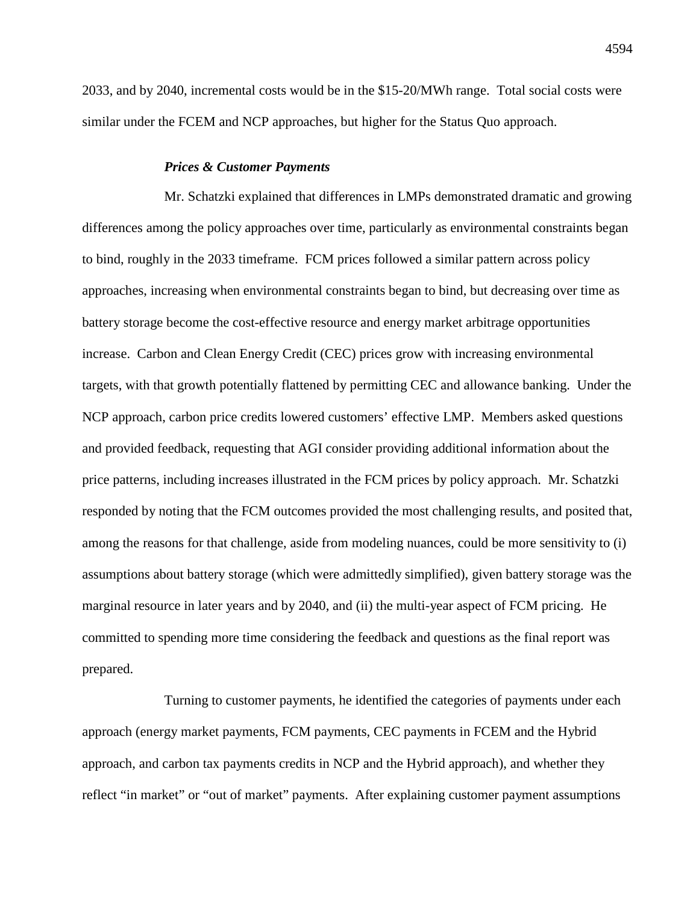2033, and by 2040, incremental costs would be in the \$15-20/MWh range. Total social costs were similar under the FCEM and NCP approaches, but higher for the Status Quo approach.

#### *Prices & Customer Payments*

Mr. Schatzki explained that differences in LMPs demonstrated dramatic and growing differences among the policy approaches over time, particularly as environmental constraints began to bind, roughly in the 2033 timeframe. FCM prices followed a similar pattern across policy approaches, increasing when environmental constraints began to bind, but decreasing over time as battery storage become the cost-effective resource and energy market arbitrage opportunities increase. Carbon and Clean Energy Credit (CEC) prices grow with increasing environmental targets, with that growth potentially flattened by permitting CEC and allowance banking. Under the NCP approach, carbon price credits lowered customers' effective LMP. Members asked questions and provided feedback, requesting that AGI consider providing additional information about the price patterns, including increases illustrated in the FCM prices by policy approach. Mr. Schatzki responded by noting that the FCM outcomes provided the most challenging results, and posited that, among the reasons for that challenge, aside from modeling nuances, could be more sensitivity to (i) assumptions about battery storage (which were admittedly simplified), given battery storage was the marginal resource in later years and by 2040, and (ii) the multi-year aspect of FCM pricing. He committed to spending more time considering the feedback and questions as the final report was prepared.

Turning to customer payments, he identified the categories of payments under each approach (energy market payments, FCM payments, CEC payments in FCEM and the Hybrid approach, and carbon tax payments credits in NCP and the Hybrid approach), and whether they reflect "in market" or "out of market" payments. After explaining customer payment assumptions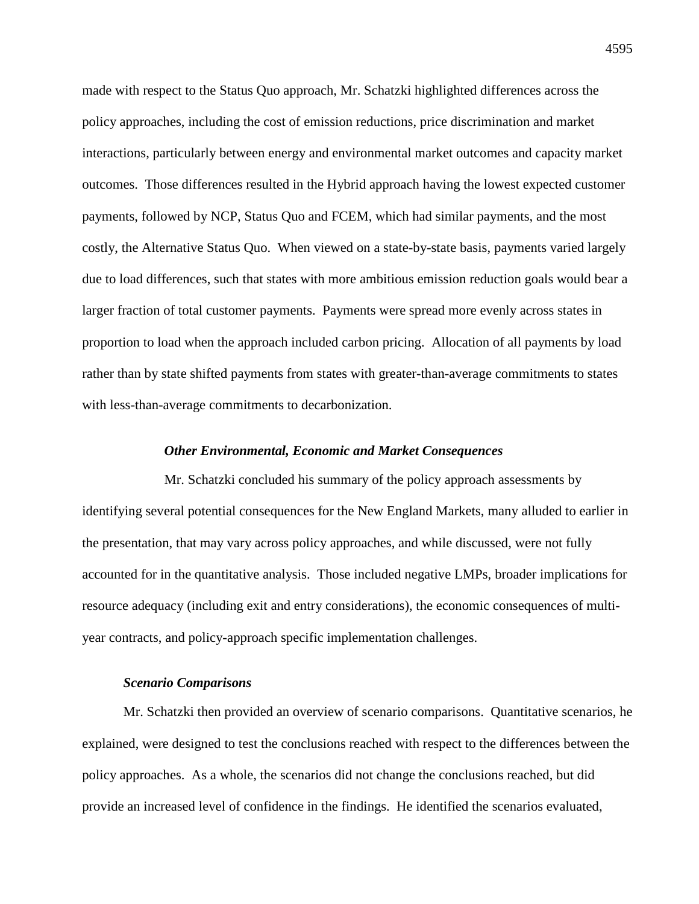made with respect to the Status Quo approach, Mr. Schatzki highlighted differences across the policy approaches, including the cost of emission reductions, price discrimination and market interactions, particularly between energy and environmental market outcomes and capacity market outcomes. Those differences resulted in the Hybrid approach having the lowest expected customer payments, followed by NCP, Status Quo and FCEM, which had similar payments, and the most costly, the Alternative Status Quo. When viewed on a state-by-state basis, payments varied largely due to load differences, such that states with more ambitious emission reduction goals would bear a larger fraction of total customer payments. Payments were spread more evenly across states in proportion to load when the approach included carbon pricing. Allocation of all payments by load rather than by state shifted payments from states with greater-than-average commitments to states with less-than-average commitments to decarbonization.

### *Other Environmental, Economic and Market Consequences*

Mr. Schatzki concluded his summary of the policy approach assessments by identifying several potential consequences for the New England Markets, many alluded to earlier in the presentation, that may vary across policy approaches, and while discussed, were not fully accounted for in the quantitative analysis. Those included negative LMPs, broader implications for resource adequacy (including exit and entry considerations), the economic consequences of multiyear contracts, and policy-approach specific implementation challenges.

#### *Scenario Comparisons*

Mr. Schatzki then provided an overview of scenario comparisons. Quantitative scenarios, he explained, were designed to test the conclusions reached with respect to the differences between the policy approaches. As a whole, the scenarios did not change the conclusions reached, but did provide an increased level of confidence in the findings. He identified the scenarios evaluated,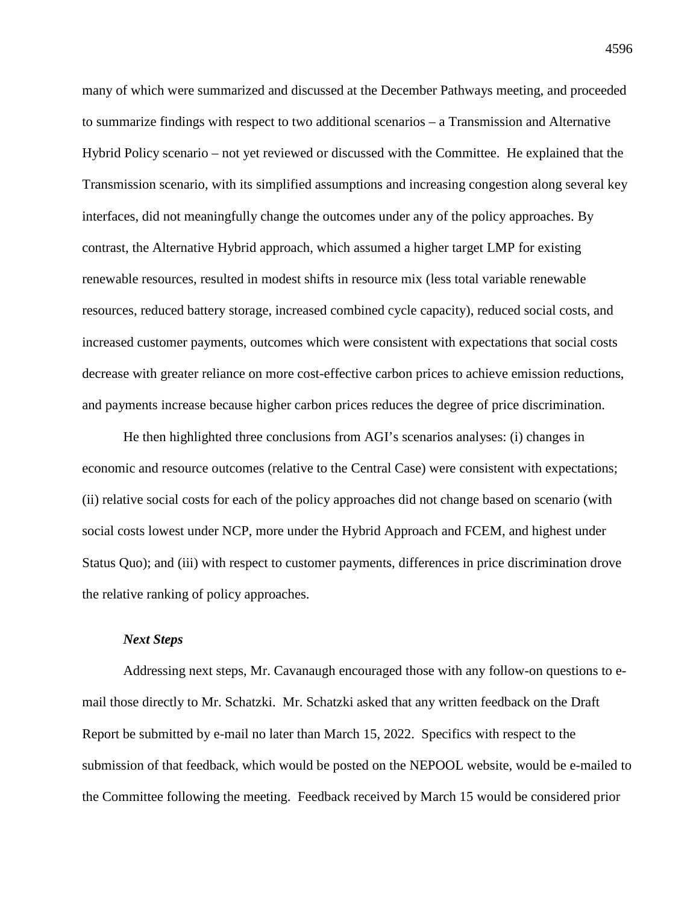many of which were summarized and discussed at the December Pathways meeting, and proceeded to summarize findings with respect to two additional scenarios – a Transmission and Alternative Hybrid Policy scenario – not yet reviewed or discussed with the Committee. He explained that the Transmission scenario, with its simplified assumptions and increasing congestion along several key interfaces, did not meaningfully change the outcomes under any of the policy approaches. By contrast, the Alternative Hybrid approach, which assumed a higher target LMP for existing renewable resources, resulted in modest shifts in resource mix (less total variable renewable resources, reduced battery storage, increased combined cycle capacity), reduced social costs, and increased customer payments, outcomes which were consistent with expectations that social costs decrease with greater reliance on more cost-effective carbon prices to achieve emission reductions, and payments increase because higher carbon prices reduces the degree of price discrimination.

He then highlighted three conclusions from AGI's scenarios analyses: (i) changes in economic and resource outcomes (relative to the Central Case) were consistent with expectations; (ii) relative social costs for each of the policy approaches did not change based on scenario (with social costs lowest under NCP, more under the Hybrid Approach and FCEM, and highest under Status Quo); and (iii) with respect to customer payments, differences in price discrimination drove the relative ranking of policy approaches.

### *Next Steps*

Addressing next steps, Mr. Cavanaugh encouraged those with any follow-on questions to email those directly to Mr. Schatzki. Mr. Schatzki asked that any written feedback on the Draft Report be submitted by e-mail no later than March 15, 2022. Specifics with respect to the submission of that feedback, which would be posted on the NEPOOL website, would be e-mailed to the Committee following the meeting. Feedback received by March 15 would be considered prior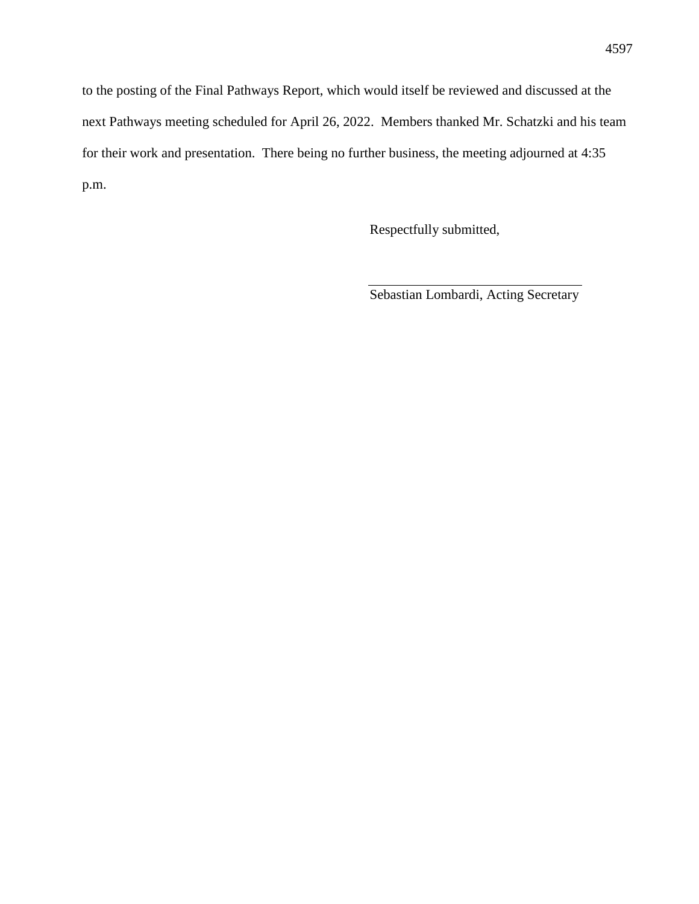to the posting of the Final Pathways Report, which would itself be reviewed and discussed at the next Pathways meeting scheduled for April 26, 2022. Members thanked Mr. Schatzki and his team for their work and presentation. There being no further business, the meeting adjourned at 4:35 p.m.

Respectfully submitted,

Sebastian Lombardi, Acting Secretary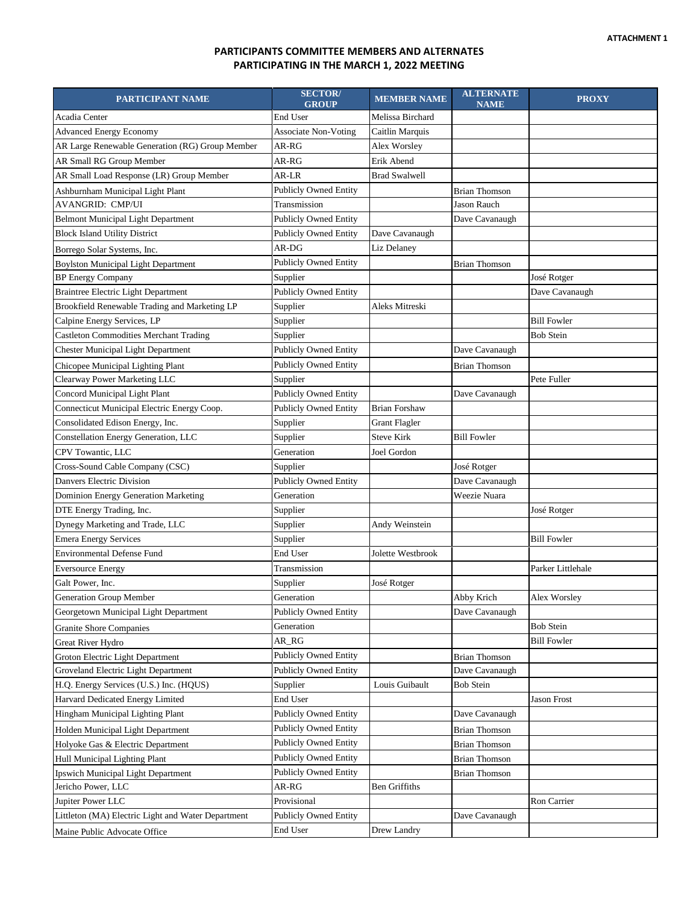## **PARTICIPANTS COMMITTEE MEMBERS AND ALTERNATES PARTICIPATING IN THE MARCH 1, 2022 MEETING**

| End User<br>Acadia Center<br>Melissa Birchard<br><b>Advanced Energy Economy</b><br>Caitlin Marquis<br><b>Associate Non-Voting</b><br>AR Large Renewable Generation (RG) Group Member<br>AR-RG<br>Alex Worsley<br>AR Small RG Group Member<br>Erik Abend<br>AR-RG<br>AR Small Load Response (LR) Group Member<br>AR-LR<br><b>Brad Swalwell</b><br><b>Publicly Owned Entity</b><br>Ashburnham Municipal Light Plant<br><b>Brian Thomson</b><br><b>AVANGRID: CMP/UI</b><br>Transmission<br><b>Jason Rauch</b><br>Dave Cavanaugh<br><b>Belmont Municipal Light Department</b><br><b>Publicly Owned Entity</b><br><b>Block Island Utility District</b><br><b>Publicly Owned Entity</b><br>Dave Cavanaugh<br>AR-DG<br>Liz Delaney<br>Borrego Solar Systems, Inc.<br>Publicly Owned Entity<br><b>Boylston Municipal Light Department</b><br><b>Brian Thomson</b><br><b>BP</b> Energy Company<br>José Rotger<br>Supplier<br><b>Braintree Electric Light Department</b><br><b>Publicly Owned Entity</b><br>Dave Cavanaugh<br>Brookfield Renewable Trading and Marketing LP<br>Supplier<br>Aleks Mitreski<br>Calpine Energy Services, LP<br>Supplier<br><b>Bill Fowler</b><br><b>Castleton Commodities Merchant Trading</b><br>Supplier<br><b>Bob Stein</b><br><b>Chester Municipal Light Department</b><br><b>Publicly Owned Entity</b><br>Dave Cavanaugh<br><b>Publicly Owned Entity</b><br>Chicopee Municipal Lighting Plant<br><b>Brian Thomson</b><br>Clearway Power Marketing LLC<br>Supplier<br>Pete Fuller<br>Concord Municipal Light Plant<br><b>Publicly Owned Entity</b><br>Dave Cavanaugh<br>Connecticut Municipal Electric Energy Coop.<br><b>Publicly Owned Entity</b><br><b>Brian Forshaw</b><br>Consolidated Edison Energy, Inc.<br>Supplier<br><b>Grant Flagler</b><br>Constellation Energy Generation, LLC<br>Supplier<br><b>Steve Kirk</b><br><b>Bill Fowler</b><br>CPV Towantic, LLC<br>Generation<br>Joel Gordon<br>Cross-Sound Cable Company (CSC)<br>Supplier<br>José Rotger<br>Danvers Electric Division<br><b>Publicly Owned Entity</b><br>Dave Cavanaugh<br>Dominion Energy Generation Marketing<br>Generation<br>Weezie Nuara<br>DTE Energy Trading, Inc.<br>José Rotger<br>Supplier<br>Dynegy Marketing and Trade, LLC<br>Andy Weinstein<br>Supplier<br><b>Emera Energy Services</b><br>Supplier<br><b>Bill Fowler</b><br><b>Environmental Defense Fund</b><br>End User<br>Jolette Westbrook<br>Transmission<br>Parker Littlehale<br><b>Eversource Energy</b><br>Galt Power, Inc.<br>José Rotger<br>Supplier<br>Generation Group Member<br>Generation<br>Abby Krich<br>Alex Worsley<br><b>Publicly Owned Entity</b><br>Georgetown Municipal Light Department<br>Dave Cavanaugh<br><b>Bob Stein</b><br>Generation<br><b>Granite Shore Companies</b><br>AR_RG<br><b>Bill Fowler</b><br>Great River Hydro<br><b>Publicly Owned Entity</b><br>Groton Electric Light Department<br><b>Brian Thomson</b><br>Groveland Electric Light Department<br>Dave Cavanaugh<br><b>Publicly Owned Entity</b><br>H.Q. Energy Services (U.S.) Inc. (HQUS)<br><b>Bob Stein</b><br>Supplier<br>Louis Guibault<br>Harvard Dedicated Energy Limited<br>End User<br>Jason Frost<br>Hingham Municipal Lighting Plant<br><b>Publicly Owned Entity</b><br>Dave Cavanaugh<br><b>Publicly Owned Entity</b><br><b>Brian Thomson</b><br>Holden Municipal Light Department<br><b>Publicly Owned Entity</b><br>Holyoke Gas & Electric Department<br><b>Brian Thomson</b><br>Publicly Owned Entity<br>Hull Municipal Lighting Plant<br><b>Brian Thomson</b><br><b>Publicly Owned Entity</b><br>Ipswich Municipal Light Department<br><b>Brian Thomson</b> | PARTICIPANT NAME   | <b>SECTOR</b> /<br><b>GROUP</b> | <b>MEMBER NAME</b>   | <b>ALTERNATE</b><br><b>NAME</b> | <b>PROXY</b> |
|-------------------------------------------------------------------------------------------------------------------------------------------------------------------------------------------------------------------------------------------------------------------------------------------------------------------------------------------------------------------------------------------------------------------------------------------------------------------------------------------------------------------------------------------------------------------------------------------------------------------------------------------------------------------------------------------------------------------------------------------------------------------------------------------------------------------------------------------------------------------------------------------------------------------------------------------------------------------------------------------------------------------------------------------------------------------------------------------------------------------------------------------------------------------------------------------------------------------------------------------------------------------------------------------------------------------------------------------------------------------------------------------------------------------------------------------------------------------------------------------------------------------------------------------------------------------------------------------------------------------------------------------------------------------------------------------------------------------------------------------------------------------------------------------------------------------------------------------------------------------------------------------------------------------------------------------------------------------------------------------------------------------------------------------------------------------------------------------------------------------------------------------------------------------------------------------------------------------------------------------------------------------------------------------------------------------------------------------------------------------------------------------------------------------------------------------------------------------------------------------------------------------------------------------------------------------------------------------------------------------------------------------------------------------------------------------------------------------------------------------------------------------------------------------------------------------------------------------------------------------------------------------------------------------------------------------------------------------------------------------------------------------------------------------------------------------------------------------------------------------------------------------------------------------------------------------------------------------------------------------------------------------------------------------------------------------------------------------------------------------------------------------------------------------------------------------------------------------------------------------------------------------------------------------------------------------------------------------------------------------------------------------|--------------------|---------------------------------|----------------------|---------------------------------|--------------|
|                                                                                                                                                                                                                                                                                                                                                                                                                                                                                                                                                                                                                                                                                                                                                                                                                                                                                                                                                                                                                                                                                                                                                                                                                                                                                                                                                                                                                                                                                                                                                                                                                                                                                                                                                                                                                                                                                                                                                                                                                                                                                                                                                                                                                                                                                                                                                                                                                                                                                                                                                                                                                                                                                                                                                                                                                                                                                                                                                                                                                                                                                                                                                                                                                                                                                                                                                                                                                                                                                                                                                                                                                                           |                    |                                 |                      |                                 |              |
|                                                                                                                                                                                                                                                                                                                                                                                                                                                                                                                                                                                                                                                                                                                                                                                                                                                                                                                                                                                                                                                                                                                                                                                                                                                                                                                                                                                                                                                                                                                                                                                                                                                                                                                                                                                                                                                                                                                                                                                                                                                                                                                                                                                                                                                                                                                                                                                                                                                                                                                                                                                                                                                                                                                                                                                                                                                                                                                                                                                                                                                                                                                                                                                                                                                                                                                                                                                                                                                                                                                                                                                                                                           |                    |                                 |                      |                                 |              |
|                                                                                                                                                                                                                                                                                                                                                                                                                                                                                                                                                                                                                                                                                                                                                                                                                                                                                                                                                                                                                                                                                                                                                                                                                                                                                                                                                                                                                                                                                                                                                                                                                                                                                                                                                                                                                                                                                                                                                                                                                                                                                                                                                                                                                                                                                                                                                                                                                                                                                                                                                                                                                                                                                                                                                                                                                                                                                                                                                                                                                                                                                                                                                                                                                                                                                                                                                                                                                                                                                                                                                                                                                                           |                    |                                 |                      |                                 |              |
|                                                                                                                                                                                                                                                                                                                                                                                                                                                                                                                                                                                                                                                                                                                                                                                                                                                                                                                                                                                                                                                                                                                                                                                                                                                                                                                                                                                                                                                                                                                                                                                                                                                                                                                                                                                                                                                                                                                                                                                                                                                                                                                                                                                                                                                                                                                                                                                                                                                                                                                                                                                                                                                                                                                                                                                                                                                                                                                                                                                                                                                                                                                                                                                                                                                                                                                                                                                                                                                                                                                                                                                                                                           |                    |                                 |                      |                                 |              |
|                                                                                                                                                                                                                                                                                                                                                                                                                                                                                                                                                                                                                                                                                                                                                                                                                                                                                                                                                                                                                                                                                                                                                                                                                                                                                                                                                                                                                                                                                                                                                                                                                                                                                                                                                                                                                                                                                                                                                                                                                                                                                                                                                                                                                                                                                                                                                                                                                                                                                                                                                                                                                                                                                                                                                                                                                                                                                                                                                                                                                                                                                                                                                                                                                                                                                                                                                                                                                                                                                                                                                                                                                                           |                    |                                 |                      |                                 |              |
|                                                                                                                                                                                                                                                                                                                                                                                                                                                                                                                                                                                                                                                                                                                                                                                                                                                                                                                                                                                                                                                                                                                                                                                                                                                                                                                                                                                                                                                                                                                                                                                                                                                                                                                                                                                                                                                                                                                                                                                                                                                                                                                                                                                                                                                                                                                                                                                                                                                                                                                                                                                                                                                                                                                                                                                                                                                                                                                                                                                                                                                                                                                                                                                                                                                                                                                                                                                                                                                                                                                                                                                                                                           |                    |                                 |                      |                                 |              |
|                                                                                                                                                                                                                                                                                                                                                                                                                                                                                                                                                                                                                                                                                                                                                                                                                                                                                                                                                                                                                                                                                                                                                                                                                                                                                                                                                                                                                                                                                                                                                                                                                                                                                                                                                                                                                                                                                                                                                                                                                                                                                                                                                                                                                                                                                                                                                                                                                                                                                                                                                                                                                                                                                                                                                                                                                                                                                                                                                                                                                                                                                                                                                                                                                                                                                                                                                                                                                                                                                                                                                                                                                                           |                    |                                 |                      |                                 |              |
|                                                                                                                                                                                                                                                                                                                                                                                                                                                                                                                                                                                                                                                                                                                                                                                                                                                                                                                                                                                                                                                                                                                                                                                                                                                                                                                                                                                                                                                                                                                                                                                                                                                                                                                                                                                                                                                                                                                                                                                                                                                                                                                                                                                                                                                                                                                                                                                                                                                                                                                                                                                                                                                                                                                                                                                                                                                                                                                                                                                                                                                                                                                                                                                                                                                                                                                                                                                                                                                                                                                                                                                                                                           |                    |                                 |                      |                                 |              |
|                                                                                                                                                                                                                                                                                                                                                                                                                                                                                                                                                                                                                                                                                                                                                                                                                                                                                                                                                                                                                                                                                                                                                                                                                                                                                                                                                                                                                                                                                                                                                                                                                                                                                                                                                                                                                                                                                                                                                                                                                                                                                                                                                                                                                                                                                                                                                                                                                                                                                                                                                                                                                                                                                                                                                                                                                                                                                                                                                                                                                                                                                                                                                                                                                                                                                                                                                                                                                                                                                                                                                                                                                                           |                    |                                 |                      |                                 |              |
|                                                                                                                                                                                                                                                                                                                                                                                                                                                                                                                                                                                                                                                                                                                                                                                                                                                                                                                                                                                                                                                                                                                                                                                                                                                                                                                                                                                                                                                                                                                                                                                                                                                                                                                                                                                                                                                                                                                                                                                                                                                                                                                                                                                                                                                                                                                                                                                                                                                                                                                                                                                                                                                                                                                                                                                                                                                                                                                                                                                                                                                                                                                                                                                                                                                                                                                                                                                                                                                                                                                                                                                                                                           |                    |                                 |                      |                                 |              |
|                                                                                                                                                                                                                                                                                                                                                                                                                                                                                                                                                                                                                                                                                                                                                                                                                                                                                                                                                                                                                                                                                                                                                                                                                                                                                                                                                                                                                                                                                                                                                                                                                                                                                                                                                                                                                                                                                                                                                                                                                                                                                                                                                                                                                                                                                                                                                                                                                                                                                                                                                                                                                                                                                                                                                                                                                                                                                                                                                                                                                                                                                                                                                                                                                                                                                                                                                                                                                                                                                                                                                                                                                                           |                    |                                 |                      |                                 |              |
|                                                                                                                                                                                                                                                                                                                                                                                                                                                                                                                                                                                                                                                                                                                                                                                                                                                                                                                                                                                                                                                                                                                                                                                                                                                                                                                                                                                                                                                                                                                                                                                                                                                                                                                                                                                                                                                                                                                                                                                                                                                                                                                                                                                                                                                                                                                                                                                                                                                                                                                                                                                                                                                                                                                                                                                                                                                                                                                                                                                                                                                                                                                                                                                                                                                                                                                                                                                                                                                                                                                                                                                                                                           |                    |                                 |                      |                                 |              |
|                                                                                                                                                                                                                                                                                                                                                                                                                                                                                                                                                                                                                                                                                                                                                                                                                                                                                                                                                                                                                                                                                                                                                                                                                                                                                                                                                                                                                                                                                                                                                                                                                                                                                                                                                                                                                                                                                                                                                                                                                                                                                                                                                                                                                                                                                                                                                                                                                                                                                                                                                                                                                                                                                                                                                                                                                                                                                                                                                                                                                                                                                                                                                                                                                                                                                                                                                                                                                                                                                                                                                                                                                                           |                    |                                 |                      |                                 |              |
|                                                                                                                                                                                                                                                                                                                                                                                                                                                                                                                                                                                                                                                                                                                                                                                                                                                                                                                                                                                                                                                                                                                                                                                                                                                                                                                                                                                                                                                                                                                                                                                                                                                                                                                                                                                                                                                                                                                                                                                                                                                                                                                                                                                                                                                                                                                                                                                                                                                                                                                                                                                                                                                                                                                                                                                                                                                                                                                                                                                                                                                                                                                                                                                                                                                                                                                                                                                                                                                                                                                                                                                                                                           |                    |                                 |                      |                                 |              |
|                                                                                                                                                                                                                                                                                                                                                                                                                                                                                                                                                                                                                                                                                                                                                                                                                                                                                                                                                                                                                                                                                                                                                                                                                                                                                                                                                                                                                                                                                                                                                                                                                                                                                                                                                                                                                                                                                                                                                                                                                                                                                                                                                                                                                                                                                                                                                                                                                                                                                                                                                                                                                                                                                                                                                                                                                                                                                                                                                                                                                                                                                                                                                                                                                                                                                                                                                                                                                                                                                                                                                                                                                                           |                    |                                 |                      |                                 |              |
|                                                                                                                                                                                                                                                                                                                                                                                                                                                                                                                                                                                                                                                                                                                                                                                                                                                                                                                                                                                                                                                                                                                                                                                                                                                                                                                                                                                                                                                                                                                                                                                                                                                                                                                                                                                                                                                                                                                                                                                                                                                                                                                                                                                                                                                                                                                                                                                                                                                                                                                                                                                                                                                                                                                                                                                                                                                                                                                                                                                                                                                                                                                                                                                                                                                                                                                                                                                                                                                                                                                                                                                                                                           |                    |                                 |                      |                                 |              |
|                                                                                                                                                                                                                                                                                                                                                                                                                                                                                                                                                                                                                                                                                                                                                                                                                                                                                                                                                                                                                                                                                                                                                                                                                                                                                                                                                                                                                                                                                                                                                                                                                                                                                                                                                                                                                                                                                                                                                                                                                                                                                                                                                                                                                                                                                                                                                                                                                                                                                                                                                                                                                                                                                                                                                                                                                                                                                                                                                                                                                                                                                                                                                                                                                                                                                                                                                                                                                                                                                                                                                                                                                                           |                    |                                 |                      |                                 |              |
|                                                                                                                                                                                                                                                                                                                                                                                                                                                                                                                                                                                                                                                                                                                                                                                                                                                                                                                                                                                                                                                                                                                                                                                                                                                                                                                                                                                                                                                                                                                                                                                                                                                                                                                                                                                                                                                                                                                                                                                                                                                                                                                                                                                                                                                                                                                                                                                                                                                                                                                                                                                                                                                                                                                                                                                                                                                                                                                                                                                                                                                                                                                                                                                                                                                                                                                                                                                                                                                                                                                                                                                                                                           |                    |                                 |                      |                                 |              |
|                                                                                                                                                                                                                                                                                                                                                                                                                                                                                                                                                                                                                                                                                                                                                                                                                                                                                                                                                                                                                                                                                                                                                                                                                                                                                                                                                                                                                                                                                                                                                                                                                                                                                                                                                                                                                                                                                                                                                                                                                                                                                                                                                                                                                                                                                                                                                                                                                                                                                                                                                                                                                                                                                                                                                                                                                                                                                                                                                                                                                                                                                                                                                                                                                                                                                                                                                                                                                                                                                                                                                                                                                                           |                    |                                 |                      |                                 |              |
|                                                                                                                                                                                                                                                                                                                                                                                                                                                                                                                                                                                                                                                                                                                                                                                                                                                                                                                                                                                                                                                                                                                                                                                                                                                                                                                                                                                                                                                                                                                                                                                                                                                                                                                                                                                                                                                                                                                                                                                                                                                                                                                                                                                                                                                                                                                                                                                                                                                                                                                                                                                                                                                                                                                                                                                                                                                                                                                                                                                                                                                                                                                                                                                                                                                                                                                                                                                                                                                                                                                                                                                                                                           |                    |                                 |                      |                                 |              |
|                                                                                                                                                                                                                                                                                                                                                                                                                                                                                                                                                                                                                                                                                                                                                                                                                                                                                                                                                                                                                                                                                                                                                                                                                                                                                                                                                                                                                                                                                                                                                                                                                                                                                                                                                                                                                                                                                                                                                                                                                                                                                                                                                                                                                                                                                                                                                                                                                                                                                                                                                                                                                                                                                                                                                                                                                                                                                                                                                                                                                                                                                                                                                                                                                                                                                                                                                                                                                                                                                                                                                                                                                                           |                    |                                 |                      |                                 |              |
|                                                                                                                                                                                                                                                                                                                                                                                                                                                                                                                                                                                                                                                                                                                                                                                                                                                                                                                                                                                                                                                                                                                                                                                                                                                                                                                                                                                                                                                                                                                                                                                                                                                                                                                                                                                                                                                                                                                                                                                                                                                                                                                                                                                                                                                                                                                                                                                                                                                                                                                                                                                                                                                                                                                                                                                                                                                                                                                                                                                                                                                                                                                                                                                                                                                                                                                                                                                                                                                                                                                                                                                                                                           |                    |                                 |                      |                                 |              |
|                                                                                                                                                                                                                                                                                                                                                                                                                                                                                                                                                                                                                                                                                                                                                                                                                                                                                                                                                                                                                                                                                                                                                                                                                                                                                                                                                                                                                                                                                                                                                                                                                                                                                                                                                                                                                                                                                                                                                                                                                                                                                                                                                                                                                                                                                                                                                                                                                                                                                                                                                                                                                                                                                                                                                                                                                                                                                                                                                                                                                                                                                                                                                                                                                                                                                                                                                                                                                                                                                                                                                                                                                                           |                    |                                 |                      |                                 |              |
|                                                                                                                                                                                                                                                                                                                                                                                                                                                                                                                                                                                                                                                                                                                                                                                                                                                                                                                                                                                                                                                                                                                                                                                                                                                                                                                                                                                                                                                                                                                                                                                                                                                                                                                                                                                                                                                                                                                                                                                                                                                                                                                                                                                                                                                                                                                                                                                                                                                                                                                                                                                                                                                                                                                                                                                                                                                                                                                                                                                                                                                                                                                                                                                                                                                                                                                                                                                                                                                                                                                                                                                                                                           |                    |                                 |                      |                                 |              |
|                                                                                                                                                                                                                                                                                                                                                                                                                                                                                                                                                                                                                                                                                                                                                                                                                                                                                                                                                                                                                                                                                                                                                                                                                                                                                                                                                                                                                                                                                                                                                                                                                                                                                                                                                                                                                                                                                                                                                                                                                                                                                                                                                                                                                                                                                                                                                                                                                                                                                                                                                                                                                                                                                                                                                                                                                                                                                                                                                                                                                                                                                                                                                                                                                                                                                                                                                                                                                                                                                                                                                                                                                                           |                    |                                 |                      |                                 |              |
|                                                                                                                                                                                                                                                                                                                                                                                                                                                                                                                                                                                                                                                                                                                                                                                                                                                                                                                                                                                                                                                                                                                                                                                                                                                                                                                                                                                                                                                                                                                                                                                                                                                                                                                                                                                                                                                                                                                                                                                                                                                                                                                                                                                                                                                                                                                                                                                                                                                                                                                                                                                                                                                                                                                                                                                                                                                                                                                                                                                                                                                                                                                                                                                                                                                                                                                                                                                                                                                                                                                                                                                                                                           |                    |                                 |                      |                                 |              |
|                                                                                                                                                                                                                                                                                                                                                                                                                                                                                                                                                                                                                                                                                                                                                                                                                                                                                                                                                                                                                                                                                                                                                                                                                                                                                                                                                                                                                                                                                                                                                                                                                                                                                                                                                                                                                                                                                                                                                                                                                                                                                                                                                                                                                                                                                                                                                                                                                                                                                                                                                                                                                                                                                                                                                                                                                                                                                                                                                                                                                                                                                                                                                                                                                                                                                                                                                                                                                                                                                                                                                                                                                                           |                    |                                 |                      |                                 |              |
|                                                                                                                                                                                                                                                                                                                                                                                                                                                                                                                                                                                                                                                                                                                                                                                                                                                                                                                                                                                                                                                                                                                                                                                                                                                                                                                                                                                                                                                                                                                                                                                                                                                                                                                                                                                                                                                                                                                                                                                                                                                                                                                                                                                                                                                                                                                                                                                                                                                                                                                                                                                                                                                                                                                                                                                                                                                                                                                                                                                                                                                                                                                                                                                                                                                                                                                                                                                                                                                                                                                                                                                                                                           |                    |                                 |                      |                                 |              |
|                                                                                                                                                                                                                                                                                                                                                                                                                                                                                                                                                                                                                                                                                                                                                                                                                                                                                                                                                                                                                                                                                                                                                                                                                                                                                                                                                                                                                                                                                                                                                                                                                                                                                                                                                                                                                                                                                                                                                                                                                                                                                                                                                                                                                                                                                                                                                                                                                                                                                                                                                                                                                                                                                                                                                                                                                                                                                                                                                                                                                                                                                                                                                                                                                                                                                                                                                                                                                                                                                                                                                                                                                                           |                    |                                 |                      |                                 |              |
|                                                                                                                                                                                                                                                                                                                                                                                                                                                                                                                                                                                                                                                                                                                                                                                                                                                                                                                                                                                                                                                                                                                                                                                                                                                                                                                                                                                                                                                                                                                                                                                                                                                                                                                                                                                                                                                                                                                                                                                                                                                                                                                                                                                                                                                                                                                                                                                                                                                                                                                                                                                                                                                                                                                                                                                                                                                                                                                                                                                                                                                                                                                                                                                                                                                                                                                                                                                                                                                                                                                                                                                                                                           |                    |                                 |                      |                                 |              |
|                                                                                                                                                                                                                                                                                                                                                                                                                                                                                                                                                                                                                                                                                                                                                                                                                                                                                                                                                                                                                                                                                                                                                                                                                                                                                                                                                                                                                                                                                                                                                                                                                                                                                                                                                                                                                                                                                                                                                                                                                                                                                                                                                                                                                                                                                                                                                                                                                                                                                                                                                                                                                                                                                                                                                                                                                                                                                                                                                                                                                                                                                                                                                                                                                                                                                                                                                                                                                                                                                                                                                                                                                                           |                    |                                 |                      |                                 |              |
|                                                                                                                                                                                                                                                                                                                                                                                                                                                                                                                                                                                                                                                                                                                                                                                                                                                                                                                                                                                                                                                                                                                                                                                                                                                                                                                                                                                                                                                                                                                                                                                                                                                                                                                                                                                                                                                                                                                                                                                                                                                                                                                                                                                                                                                                                                                                                                                                                                                                                                                                                                                                                                                                                                                                                                                                                                                                                                                                                                                                                                                                                                                                                                                                                                                                                                                                                                                                                                                                                                                                                                                                                                           |                    |                                 |                      |                                 |              |
|                                                                                                                                                                                                                                                                                                                                                                                                                                                                                                                                                                                                                                                                                                                                                                                                                                                                                                                                                                                                                                                                                                                                                                                                                                                                                                                                                                                                                                                                                                                                                                                                                                                                                                                                                                                                                                                                                                                                                                                                                                                                                                                                                                                                                                                                                                                                                                                                                                                                                                                                                                                                                                                                                                                                                                                                                                                                                                                                                                                                                                                                                                                                                                                                                                                                                                                                                                                                                                                                                                                                                                                                                                           |                    |                                 |                      |                                 |              |
|                                                                                                                                                                                                                                                                                                                                                                                                                                                                                                                                                                                                                                                                                                                                                                                                                                                                                                                                                                                                                                                                                                                                                                                                                                                                                                                                                                                                                                                                                                                                                                                                                                                                                                                                                                                                                                                                                                                                                                                                                                                                                                                                                                                                                                                                                                                                                                                                                                                                                                                                                                                                                                                                                                                                                                                                                                                                                                                                                                                                                                                                                                                                                                                                                                                                                                                                                                                                                                                                                                                                                                                                                                           |                    |                                 |                      |                                 |              |
|                                                                                                                                                                                                                                                                                                                                                                                                                                                                                                                                                                                                                                                                                                                                                                                                                                                                                                                                                                                                                                                                                                                                                                                                                                                                                                                                                                                                                                                                                                                                                                                                                                                                                                                                                                                                                                                                                                                                                                                                                                                                                                                                                                                                                                                                                                                                                                                                                                                                                                                                                                                                                                                                                                                                                                                                                                                                                                                                                                                                                                                                                                                                                                                                                                                                                                                                                                                                                                                                                                                                                                                                                                           |                    |                                 |                      |                                 |              |
|                                                                                                                                                                                                                                                                                                                                                                                                                                                                                                                                                                                                                                                                                                                                                                                                                                                                                                                                                                                                                                                                                                                                                                                                                                                                                                                                                                                                                                                                                                                                                                                                                                                                                                                                                                                                                                                                                                                                                                                                                                                                                                                                                                                                                                                                                                                                                                                                                                                                                                                                                                                                                                                                                                                                                                                                                                                                                                                                                                                                                                                                                                                                                                                                                                                                                                                                                                                                                                                                                                                                                                                                                                           |                    |                                 |                      |                                 |              |
|                                                                                                                                                                                                                                                                                                                                                                                                                                                                                                                                                                                                                                                                                                                                                                                                                                                                                                                                                                                                                                                                                                                                                                                                                                                                                                                                                                                                                                                                                                                                                                                                                                                                                                                                                                                                                                                                                                                                                                                                                                                                                                                                                                                                                                                                                                                                                                                                                                                                                                                                                                                                                                                                                                                                                                                                                                                                                                                                                                                                                                                                                                                                                                                                                                                                                                                                                                                                                                                                                                                                                                                                                                           |                    |                                 |                      |                                 |              |
|                                                                                                                                                                                                                                                                                                                                                                                                                                                                                                                                                                                                                                                                                                                                                                                                                                                                                                                                                                                                                                                                                                                                                                                                                                                                                                                                                                                                                                                                                                                                                                                                                                                                                                                                                                                                                                                                                                                                                                                                                                                                                                                                                                                                                                                                                                                                                                                                                                                                                                                                                                                                                                                                                                                                                                                                                                                                                                                                                                                                                                                                                                                                                                                                                                                                                                                                                                                                                                                                                                                                                                                                                                           |                    |                                 |                      |                                 |              |
|                                                                                                                                                                                                                                                                                                                                                                                                                                                                                                                                                                                                                                                                                                                                                                                                                                                                                                                                                                                                                                                                                                                                                                                                                                                                                                                                                                                                                                                                                                                                                                                                                                                                                                                                                                                                                                                                                                                                                                                                                                                                                                                                                                                                                                                                                                                                                                                                                                                                                                                                                                                                                                                                                                                                                                                                                                                                                                                                                                                                                                                                                                                                                                                                                                                                                                                                                                                                                                                                                                                                                                                                                                           |                    |                                 |                      |                                 |              |
|                                                                                                                                                                                                                                                                                                                                                                                                                                                                                                                                                                                                                                                                                                                                                                                                                                                                                                                                                                                                                                                                                                                                                                                                                                                                                                                                                                                                                                                                                                                                                                                                                                                                                                                                                                                                                                                                                                                                                                                                                                                                                                                                                                                                                                                                                                                                                                                                                                                                                                                                                                                                                                                                                                                                                                                                                                                                                                                                                                                                                                                                                                                                                                                                                                                                                                                                                                                                                                                                                                                                                                                                                                           |                    |                                 |                      |                                 |              |
|                                                                                                                                                                                                                                                                                                                                                                                                                                                                                                                                                                                                                                                                                                                                                                                                                                                                                                                                                                                                                                                                                                                                                                                                                                                                                                                                                                                                                                                                                                                                                                                                                                                                                                                                                                                                                                                                                                                                                                                                                                                                                                                                                                                                                                                                                                                                                                                                                                                                                                                                                                                                                                                                                                                                                                                                                                                                                                                                                                                                                                                                                                                                                                                                                                                                                                                                                                                                                                                                                                                                                                                                                                           |                    |                                 |                      |                                 |              |
|                                                                                                                                                                                                                                                                                                                                                                                                                                                                                                                                                                                                                                                                                                                                                                                                                                                                                                                                                                                                                                                                                                                                                                                                                                                                                                                                                                                                                                                                                                                                                                                                                                                                                                                                                                                                                                                                                                                                                                                                                                                                                                                                                                                                                                                                                                                                                                                                                                                                                                                                                                                                                                                                                                                                                                                                                                                                                                                                                                                                                                                                                                                                                                                                                                                                                                                                                                                                                                                                                                                                                                                                                                           |                    |                                 |                      |                                 |              |
|                                                                                                                                                                                                                                                                                                                                                                                                                                                                                                                                                                                                                                                                                                                                                                                                                                                                                                                                                                                                                                                                                                                                                                                                                                                                                                                                                                                                                                                                                                                                                                                                                                                                                                                                                                                                                                                                                                                                                                                                                                                                                                                                                                                                                                                                                                                                                                                                                                                                                                                                                                                                                                                                                                                                                                                                                                                                                                                                                                                                                                                                                                                                                                                                                                                                                                                                                                                                                                                                                                                                                                                                                                           |                    |                                 |                      |                                 |              |
|                                                                                                                                                                                                                                                                                                                                                                                                                                                                                                                                                                                                                                                                                                                                                                                                                                                                                                                                                                                                                                                                                                                                                                                                                                                                                                                                                                                                                                                                                                                                                                                                                                                                                                                                                                                                                                                                                                                                                                                                                                                                                                                                                                                                                                                                                                                                                                                                                                                                                                                                                                                                                                                                                                                                                                                                                                                                                                                                                                                                                                                                                                                                                                                                                                                                                                                                                                                                                                                                                                                                                                                                                                           |                    |                                 |                      |                                 |              |
|                                                                                                                                                                                                                                                                                                                                                                                                                                                                                                                                                                                                                                                                                                                                                                                                                                                                                                                                                                                                                                                                                                                                                                                                                                                                                                                                                                                                                                                                                                                                                                                                                                                                                                                                                                                                                                                                                                                                                                                                                                                                                                                                                                                                                                                                                                                                                                                                                                                                                                                                                                                                                                                                                                                                                                                                                                                                                                                                                                                                                                                                                                                                                                                                                                                                                                                                                                                                                                                                                                                                                                                                                                           |                    |                                 |                      |                                 |              |
|                                                                                                                                                                                                                                                                                                                                                                                                                                                                                                                                                                                                                                                                                                                                                                                                                                                                                                                                                                                                                                                                                                                                                                                                                                                                                                                                                                                                                                                                                                                                                                                                                                                                                                                                                                                                                                                                                                                                                                                                                                                                                                                                                                                                                                                                                                                                                                                                                                                                                                                                                                                                                                                                                                                                                                                                                                                                                                                                                                                                                                                                                                                                                                                                                                                                                                                                                                                                                                                                                                                                                                                                                                           |                    |                                 |                      |                                 |              |
|                                                                                                                                                                                                                                                                                                                                                                                                                                                                                                                                                                                                                                                                                                                                                                                                                                                                                                                                                                                                                                                                                                                                                                                                                                                                                                                                                                                                                                                                                                                                                                                                                                                                                                                                                                                                                                                                                                                                                                                                                                                                                                                                                                                                                                                                                                                                                                                                                                                                                                                                                                                                                                                                                                                                                                                                                                                                                                                                                                                                                                                                                                                                                                                                                                                                                                                                                                                                                                                                                                                                                                                                                                           | Jericho Power, LLC | AR-RG                           | <b>Ben Griffiths</b> |                                 |              |
| Jupiter Power LLC<br>Provisional<br>Ron Carrier                                                                                                                                                                                                                                                                                                                                                                                                                                                                                                                                                                                                                                                                                                                                                                                                                                                                                                                                                                                                                                                                                                                                                                                                                                                                                                                                                                                                                                                                                                                                                                                                                                                                                                                                                                                                                                                                                                                                                                                                                                                                                                                                                                                                                                                                                                                                                                                                                                                                                                                                                                                                                                                                                                                                                                                                                                                                                                                                                                                                                                                                                                                                                                                                                                                                                                                                                                                                                                                                                                                                                                                           |                    |                                 |                      |                                 |              |
| Littleton (MA) Electric Light and Water Department<br><b>Publicly Owned Entity</b><br>Dave Cavanaugh                                                                                                                                                                                                                                                                                                                                                                                                                                                                                                                                                                                                                                                                                                                                                                                                                                                                                                                                                                                                                                                                                                                                                                                                                                                                                                                                                                                                                                                                                                                                                                                                                                                                                                                                                                                                                                                                                                                                                                                                                                                                                                                                                                                                                                                                                                                                                                                                                                                                                                                                                                                                                                                                                                                                                                                                                                                                                                                                                                                                                                                                                                                                                                                                                                                                                                                                                                                                                                                                                                                                      |                    |                                 |                      |                                 |              |
| End User<br>Drew Landry<br>Maine Public Advocate Office                                                                                                                                                                                                                                                                                                                                                                                                                                                                                                                                                                                                                                                                                                                                                                                                                                                                                                                                                                                                                                                                                                                                                                                                                                                                                                                                                                                                                                                                                                                                                                                                                                                                                                                                                                                                                                                                                                                                                                                                                                                                                                                                                                                                                                                                                                                                                                                                                                                                                                                                                                                                                                                                                                                                                                                                                                                                                                                                                                                                                                                                                                                                                                                                                                                                                                                                                                                                                                                                                                                                                                                   |                    |                                 |                      |                                 |              |